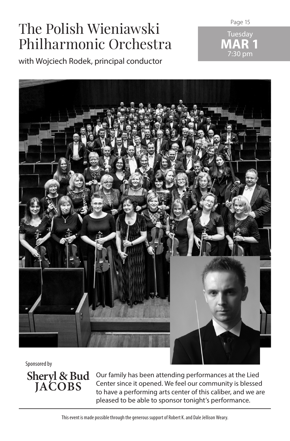# The Polish Wieniawski Philharmonic Orchestra

with Wojciech Rodek, principal conductor

Page 15





Sponsored by

**Sheryl & Bud JACOBS**

Our family has been attending performances at the Lied Center since it opened. We feel our community is blessed to have a performing arts center of this caliber, and we are pleased to be able to sponsor tonight's performance.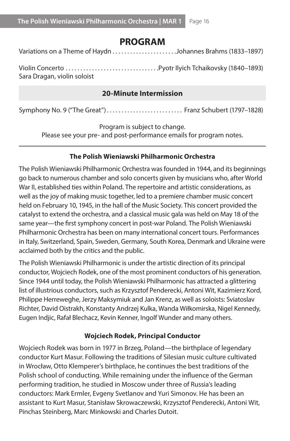## **PROGRAM**

Variations on a Theme of Haydn. . Johannes Brahms (1833–1897)

Violin Concerto. . Pyotr Ilyich Tchaikovsky (1840–1893) Sara Dragan, violin soloist

#### **20-Minute Intermission**

Symphony No. 9 ("The Great")............................. Franz Schubert (1797–1828)

Program is subject to change.

Please see your pre- and post-performance emails for program notes.

#### **The Polish Wieniawski Philharmonic Orchestra**

The Polish Wieniawski Philharmonic Orchestra was founded in 1944, and its beginnings go back to numerous chamber and solo concerts given by musicians who, after World War II, established ties within Poland. The repertoire and artistic considerations, as well as the joy of making music together, led to a premiere chamber music concert held on February 10, 1945, in the hall of the Music Society. This concert provided the catalyst to extend the orchestra, and a classical music gala was held on May 18 of the same year—the first symphony concert in post-war Poland. The Polish Wieniawski Philharmonic Orchestra has been on many international concert tours. Performances in Italy, Switzerland, Spain, Sweden, Germany, South Korea, Denmark and Ukraine were acclaimed both by the critics and the public.

The Polish Wieniawski Philharmonic is under the artistic direction of its principal conductor, Wojciech Rodek, one of the most prominent conductors of his generation. Since 1944 until today, the Polish Wieniawski Philharmonic has attracted a glittering list of illustrious conductors, such as Krzysztof Penderecki, Antoni Wit, Kazimierz Kord, Philippe Herreweghe, Jerzy Maksymiuk and Jan Krenz, as well as soloists: Sviatoslav Richter, David Oistrakh, Konstanty Andrzej Kulka, Wanda Wiłkomirska, Nigel Kennedy, Eugen Indjic, Rafał Blechacz, Kevin Kenner, Ingolf Wunder and many others.

#### **Wojciech Rodek, Principal Conductor**

Wojciech Rodek was born in 1977 in Brzeg, Poland—the birthplace of legendary conductor Kurt Masur. Following the traditions of Silesian music culture cultivated in Wrocław, Otto Klemperer's birthplace, he continues the best traditions of the Polish school of conducting. While remaining under the influence of the German performing tradition, he studied in Moscow under three of Russia's leading conductors: Mark Ermler, Evgeny Svetlanov and Yuri Simonov. He has been an assistant to Kurt Masur, Stanisław Skrowaczewski, Krzysztof Penderecki, Antoni Wit, Pinchas Steinberg, Marc Minkowski and Charles Dutoit.